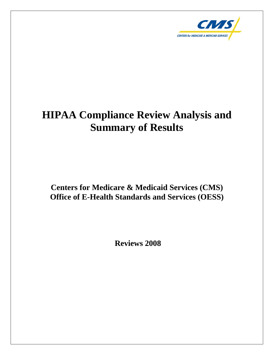

# **HIPAA Compliance Review Analysis and Summary of Results**

**Centers for Medicare & Medicaid Services (CMS) Office of E-Health Standards and Services (OESS)** 

 **Reviews 2008**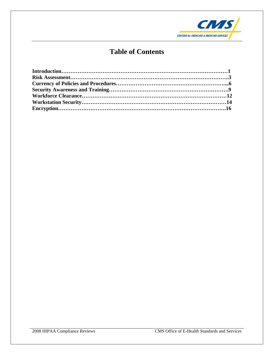

## **Table of Contents**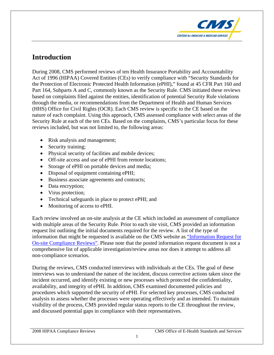

## **Introduction**

During 2008, CMS performed reviews of ten Health Insurance Portability and Accountability Act of 1996 (HIPAA) Covered Entities (CEs) to verify compliance with "Security Standards for the Protection of Electronic Protected Health Information (ePHI)," found at 45 CFR Part 160 and Part 164, Subparts A and C, commonly known as the Security Rule. CMS initiated these reviews based on complaints filed against the entities, identification of potential Security Rule violations through the media, or recommendations from the Department of Health and Human Services (HHS) Office for Civil Rights (OCR). Each CMS review is specific to the CE based on the nature of each complaint. Using this approach, CMS assessed compliance with select areas of the Security Rule at each of the ten CEs. Based on the complaints, CMS's particular focus for these reviews included, but was not limited to, the following areas:

- Risk analysis and management;
- Security training;
- Physical security of facilities and mobile devices;
- Off-site access and use of ePHI from remote locations;
- Storage of ePHI on portable devices and media;
- Disposal of equipment containing ePHI;
- Business associate agreements and contracts;
- Data encryption;
- Virus protection;
- Technical safeguards in place to protect ePHI; and
- Monitoring of access to ePHI.

Each review involved an on-site analysis at the CE which included an assessment of compliance with multiple areas of the Security Rule. Prior to each site visit, CMS provided an information request list outlining the initial documents required for the review. A list of the type of information that might be requested is available on the CMS website as ["Information Request for](http://www.cms.hhs.gov/Enforcement/Downloads/InformationRequestforComplianceReviews.pdf)  [On-site Compliance Reviews".](http://www.cms.hhs.gov/Enforcement/Downloads/InformationRequestforComplianceReviews.pdf) Please note that the posted information request document is not a comprehensive list of applicable investigation/review areas nor does it attempt to address all non-compliance scenarios.

During the reviews, CMS conducted interviews with individuals at the CEs. The goal of these interviews was to understand the nature of the incident, discuss corrective actions taken since the incident occurred, and identify existing or new processes which protected the confidentiality, availability, and integrity of ePHI. In addition, CMS examined documented policies and procedures which supported the security of ePHI. For selected key processes, CMS conducted analysis to assess whether the processes were operating effectively and as intended. To maintain visibility of the process, CMS provided regular status reports to the CE throughout the review, and discussed potential gaps in compliance with their representatives.

1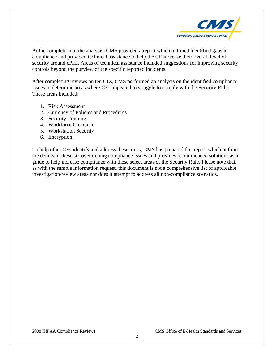

At the completion of the analysis, CMS provided a report which outlined identified gaps in compliance and provided technical assistance to help the CE increase their overall level of security around ePHI. Areas of technical assistance included suggestions for improving security controls beyond the purview of the specific reported incidents.

After completing reviews on ten CEs, CMS performed an analysis on the identified compliance issues to determine areas where CEs appeared to struggle to comply with the Security Rule. These areas included:

- 1. Risk Assessment
- 2. Currency of Policies and Procedures
- 3. Security Training
- 4. Workforce Clearance
- 5. Workstation Security
- 6. Encryption

To help other CEs identify and address these areas, CMS has prepared this report which outlines the details of these six overarching compliance issues and provides recommended solutions as a guide to help increase compliance with these select areas of the Security Rule. Please note that, as with the sample information request, this document is not a comprehensive list of applicable investigation/review areas nor does it attempt to address all non-compliance scenarios.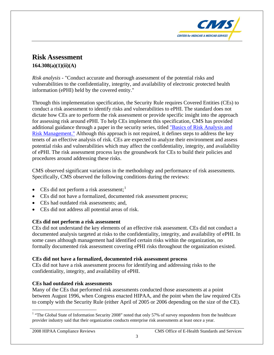

## **Risk Assessment**

**164.308(a)(1)(ii)(A)** 

*Risk analysis* - "Conduct accurate and thorough assessment of the potential risks and vulnerabilities to the confidentiality, integrity, and availability of electronic protected health information (ePHI) held by the covered entity."

Through this implementation specification, the Security Rule requires Covered Entities (CEs) to conduct a risk assessment to identify risks and vulnerabilities to ePHI. The standard does not dictate how CEs are to perform the risk assessment or provide specific insight into the approach for assessing risk around ePHI. To help CEs implement this specification, CMS has provided additional guidance through a paper in the security series, titled ["Basics of Risk Analysis and](http://www.cms.hhs.gov/EducationMaterials/Downloads/BasicsofRiskAnalysisandRiskManagement.pdf)  [Risk Management."](http://www.cms.hhs.gov/EducationMaterials/Downloads/BasicsofRiskAnalysisandRiskManagement.pdf) Although this approach is not required, it defines steps to address the key tenets of an effective analysis of risk. CEs are expected to analyze their environment and assess potential risks and vulnerabilities which may affect the confidentiality, integrity, and availability of ePHI. The risk assessment process lays the groundwork for CEs to build their policies and procedures around addressing these risks.

CMS observed significant variations in the methodology and performance of risk assessments. Specifically, CMS observed the following conditions during the reviews:

- CEs did not perform a risk assessment; $<sup>1</sup>$  $<sup>1</sup>$  $<sup>1</sup>$ </sup>
- CEs did not have a formalized, documented risk assessment process;
- CEs had outdated risk assessments; and,
- CEs did not address all potential areas of risk.

### **CEs did not perform a risk assessment**

CEs did not understand the key elements of an effective risk assessment. CEs did not conduct a documented analysis targeted at risks to the confidentiality, integrity, and availability of ePHI. In some cases although management had identified certain risks within the organization, no formally documented risk assessment covering ePHI risks throughout the organization existed.

#### **CEs did not have a formalized, documented risk assessment process**

CEs did not have a risk assessment process for identifying and addressing risks to the confidentiality, integrity, and availability of ePHI.

### **CEs had outdated risk assessments**

Many of the CEs that performed risk assessments conducted those assessments at a point between August 1996, when Congress enacted HIPAA, and the point when the law required CEs to comply with the Security Rule (either April of 2005 or 2006 depending on the size of the CE).

1

<span id="page-4-0"></span><sup>&</sup>lt;sup>1</sup> "The Global State of Information Security 2008" noted that only 57% of survey respondents from the healthcare provider industry said that their organization conducts enterprise risk assessments at least once a year.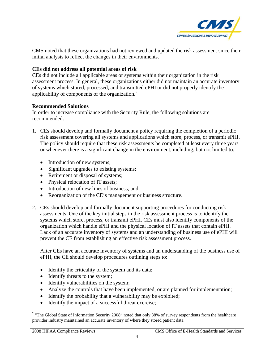

CMS noted that these organizations had not reviewed and updated the risk assessment since their initial analysis to reflect the changes in their environments.

#### **CEs did not address all potential areas of risk**

CEs did not include all applicable areas or systems within their organization in the risk assessment process. In general, these organizations either did not maintain an accurate inventory of systems which stored, processed, and transmitted ePHI or did not properly identify the applicability of components of the organization. $<sup>2</sup>$  $<sup>2</sup>$  $<sup>2</sup>$ </sup>

#### **Recommended Solutions**

In order to increase compliance with the Security Rule, the following solutions are recommended:

- 1. CEs should develop and formally document a policy requiring the completion of a periodic risk assessment covering all systems and applications which store, process, or transmit ePHI. The policy should require that these risk assessments be completed at least every three years or whenever there is a significant change in the environment, including, but not limited to:
	- Introduction of new systems;
	- Significant upgrades to existing systems;
	- Retirement or disposal of systems;
	- Physical relocation of IT assets;
	- Introduction of new lines of business; and,
	- Reorganization of the CE's management or business structure.
- 2. CEs should develop and formally document supporting procedures for conducting risk assessments. One of the key initial steps in the risk assessment process is to identify the systems which store, process, or transmit ePHI. CEs must also identify components of the organization which handle ePHI and the physical location of IT assets that contain ePHI. Lack of an accurate inventory of systems and an understanding of business use of ePHI will prevent the CE from establishing an effective risk assessment process.

After CEs have an accurate inventory of systems and an understanding of the business use of ePHI, the CE should develop procedures outlining steps to:

- Identify the criticality of the system and its data;
- Identify threats to the system;
- Identify vulnerabilities on the system;
- Analyze the controls that have been implemented, or are planned for implementation;
- Identify the probability that a vulnerability may be exploited;
- Identify the impact of a successful threat exercise;

 $\overline{a}$ 

<span id="page-5-0"></span><sup>&</sup>lt;sup>2</sup> "The Global State of Information Security 2008" noted that only 38% of survey respondents from the healthcare provider industry maintained an accurate inventory of where they stored patient data.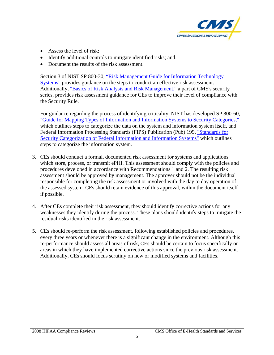

- Assess the level of risk:
- Identify additional controls to mitigate identified risks; and,
- Document the results of the risk assessment.

Section 3 of NIST SP 800-30, ["Risk Management Guide for Information Technology](http://csrc.nist.gov/publications/nistpubs/800-30/sp800-30.pdf)  [Systems"](http://csrc.nist.gov/publications/nistpubs/800-30/sp800-30.pdf) provides guidance on the steps to conduct an effective risk assessment. Additionally, ["Basics of Risk Analysis and Risk Management,"](http://www.cms.hhs.gov/EducationMaterials/Downloads/BasicsofRiskAnalysisandRiskManagement.pdf) a part of CMS's security series, provides risk assessment guidance for CEs to improve their level of compliance with the Security Rule.

For guidance regarding the process of identifying criticality, NIST has developed SP 800-60, ["Guide for Mapping Types of Information and Information Systems to Security Categories,"](http://csrc.nist.gov/publications/nistpubs/800-60-rev1/SP800-60_Vol1-Rev1.pdf) which outlines steps to categorize the data on the system and information system itself, and Federal Information Processing Standards (FIPS) Publication (Pub) 199, ["Standards for](http://csrc.nist.gov/publications/fips/fips199/FIPS-PUB-199-final.pdf)  [Security Categorization of Federal Information and Information Systems"](http://csrc.nist.gov/publications/fips/fips199/FIPS-PUB-199-final.pdf) which outlines steps to categorize the information system.

- 3. CEs should conduct a formal, documented risk assessment for systems and applications which store, process, or transmit ePHI. This assessment should comply with the policies and procedures developed in accordance with Recommendations 1 and 2. The resulting risk assessment should be approved by management. The approver should not be the individual responsible for completing the risk assessment or involved with the day to day operation of the assessed system. CEs should retain evidence of this approval, within the document itself if possible.
- 4. After CEs complete their risk assessment, they should identify corrective actions for any weaknesses they identify during the process. These plans should identify steps to mitigate the residual risks identified in the risk assessment.
- 5. CEs should re-perform the risk assessment, following established policies and procedures, every three years or whenever there is a significant change in the environment. Although this re-performance should assess all areas of risk, CEs should be certain to focus specifically on areas in which they have implemented corrective actions since the previous risk assessment. Additionally, CEs should focus scrutiny on new or modified systems and facilities.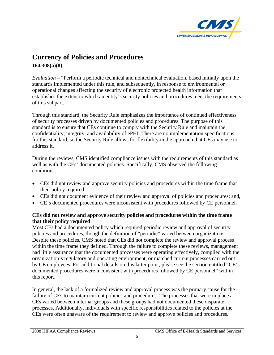

## **Currency of Policies and Procedures 164.308(a)(8)**

*Evaluation* – "Perform a periodic technical and nontechnical evaluation, based initially upon the standards implemented under this rule, and subsequently, in response to environmental or operational changes affecting the security of electronic protected health information that establishes the extent to which an entity's security policies and procedures meet the requirements of this subpart."

Through this standard, the Security Rule emphasizes the importance of continued effectiveness of security processes driven by documented policies and procedures. The purpose of this standard is to ensure that CEs continue to comply with the Security Rule and maintain the confidentiality, integrity, and availability of ePHI. There are no implementation specifications for this standard, so the Security Rule allows for flexibility in the approach that CEs may use to address it.

During the reviews, CMS identified compliance issues with the requirements of this standard as well as with the CEs' documented policies. Specifically, CMS observed the following conditions:

- CEs did not review and approve security policies and procedures within the time frame that their policy required;
- CEs did not document evidence of their review and approval of policies and procedures; and,
- CE's documented procedures were inconsistent with procedures followed by CE personnel.

### **CEs did not review and approve security policies and procedures within the time frame that their policy required**

Most CEs had a documented policy which required periodic review and approval of security policies and procedures, though the definition of "periodic" varied between organizations. Despite these policies, CMS noted that CEs did not complete the review and approval process within the time frame they defined. Through the failure to complete these reviews, management had little assurance that the documented processes were operating effectively, complied with the organization's regulatory and operating environment, or matched current processes carried out by CE employees. For additional details on this latter point, please see the section entitled "CE's documented procedures were inconsistent with procedures followed by CE personnel" within this report.

In general, the lack of a formalized review and approval process was the primary cause for the failure of CEs to maintain current policies and procedures. The processes that were in place at CEs varied between internal groups and these groups had not documented these disparate processes. Additionally, individuals with specific responsibilities related to the policies at the CEs were often unaware of the requirement to review and approve policies and procedures.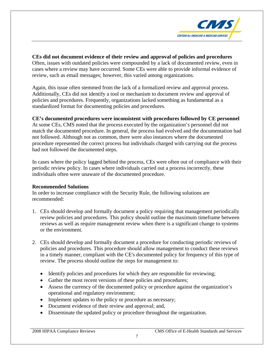

**CEs did not document evidence of their review and approval of policies and procedures**  Often, issues with outdated policies were compounded by a lack of documented review, even in cases where a review may have occurred. Some CEs were able to provide informal evidence of review, such as email messages; however, this varied among organizations.

Again, this issue often stemmed from the lack of a formalized review and approval process. Additionally, CEs did not identify a tool or mechanism to document review and approval of policies and procedures. Frequently, organizations lacked something as fundamental as a standardized format for documenting policies and procedures.

#### **CE's documented procedures were inconsistent with procedures followed by CE personnel**

At some CEs, CMS noted that the process executed by the organization's personnel did not match the documented procedure. In general, the process had evolved and the documentation had not followed. Although not as common, there were also instances where the documented procedure represented the correct process but individuals charged with carrying out the process had not followed the documented steps.

In cases where the policy lagged behind the process, CEs were often out of compliance with their periodic review policy. In cases where individuals carried out a process incorrectly, these individuals often were unaware of the documented procedure.

#### **Recommended Solutions**

In order to increase compliance with the Security Rule, the following solutions are recommended:

- 1. CEs should develop and formally document a policy requiring that management periodically review policies and procedures. This policy should outline the maximum timeframe between reviews as well as require management review when there is a significant change to systems or the environment.
- 2. CEs should develop and formally document a procedure for conducting periodic reviews of policies and procedures. This procedure should allow management to conduct these reviews in a timely manner, compliant with the CE's documented policy for frequency of this type of review. The process should outline the steps for management to:
	- Identify policies and procedures for which they are responsible for reviewing;
	- Gather the most recent versions of these policies and procedures;
	- Assess the currency of the documented policy or procedure against the organization's operational and regulatory environment;
	- Implement updates to the policy or procedure as necessary;
	- Document evidence of their review and approval; and,
	- Disseminate the updated policy or procedure throughout the organization.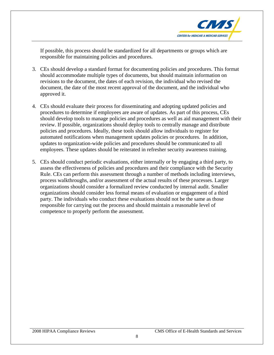

If possible, this process should be standardized for all departments or groups which are responsible for maintaining policies and procedures.

- 3. CEs should develop a standard format for documenting policies and procedures. This format should accommodate multiple types of documents, but should maintain information on revisions to the document, the dates of each revision, the individual who revised the document, the date of the most recent approval of the document, and the individual who approved it.
- 4. CEs should evaluate their process for disseminating and adopting updated policies and procedures to determine if employees are aware of updates. As part of this process, CEs should develop tools to manage policies and procedures as well as aid management with their review. If possible, organizations should deploy tools to centrally manage and distribute policies and procedures. Ideally, these tools should allow individuals to register for automated notifications when management updates policies or procedures. In addition, updates to organization-wide policies and procedures should be communicated to all employees. These updates should be reiterated in refresher security awareness training.
- 5. CEs should conduct periodic evaluations, either internally or by engaging a third party, to assess the effectiveness of policies and procedures and their compliance with the Security Rule. CEs can perform this assessment through a number of methods including interviews, process walkthroughs, and/or assessment of the actual results of these processes. Larger organizations should consider a formalized review conducted by internal audit. Smaller organizations should consider less formal means of evaluation or engagement of a third party. The individuals who conduct these evaluations should not be the same as those responsible for carrying out the process and should maintain a reasonable level of competence to properly perform the assessment.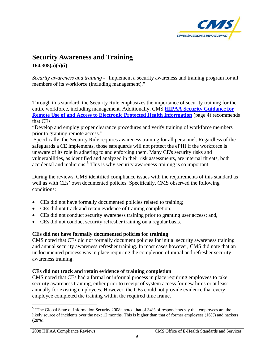

## **Security Awareness and Training**

**164.308(a)(5)(i)** 

*Security awareness and training* - "Implement a security awareness and training program for all members of its workforce (including management)."

Through this standard, the Security Rule emphasizes the importance of security training for the entire workforce, including management. Additionally, CMS **[HIPAA Security Guidance for](http://www.cms.hhs.gov/SecurityStandard/Downloads/SecurityGuidanceforRemoteUseFinal122806.pdf)  [Remote Use of and Access to Electronic Protected Health Information](http://www.cms.hhs.gov/SecurityStandard/Downloads/SecurityGuidanceforRemoteUseFinal122806.pdf)** (page 4) recommends that CEs

"Develop and employ proper clearance procedures and verify training of workforce members prior to granting remote access."

 Specifically, the Security Rule requires awareness training for all personnel. Regardless of the safeguards a CE implements, those safeguards will not protect the ePHI if the workforce is unaware of its role in adhering to and enforcing them. Many CE's security risks and vulnerabilities, as identified and analyzed in their risk assessments, are internal threats, both accidental and malicious.<sup>[3](#page-10-0)</sup> This is why security awareness training is so important.

During the reviews, CMS identified compliance issues with the requirements of this standard as well as with CEs' own documented policies. Specifically, CMS observed the following conditions:

- CEs did not have formally documented policies related to training;
- CEs did not track and retain evidence of training completion;
- CEs did not conduct security awareness training prior to granting user access; and,
- CEs did not conduct security refresher training on a regular basis.

### **CEs did not have formally documented policies for training**

CMS noted that CEs did not formally document policies for initial security awareness training and annual security awareness refresher training. In most cases however, CMS did note that an undocumented process was in place requiring the completion of initial and refresher security awareness training.

#### **CEs did not track and retain evidence of training completion**

CMS noted that CEs had a formal or informal process in place requiring employees to take security awareness training, either prior to receipt of system access for new hires or at least annually for existing employees. However, the CEs could not provide evidence that every employee completed the training within the required time frame.

<span id="page-10-0"></span> $\overline{a}$ <sup>3</sup> "The Global State of Information Security 2008" noted that of 34% of respondents say that employees are the likely source of incidents over the next 12 months. This is higher than that of former employees (16%) and hackers (28%).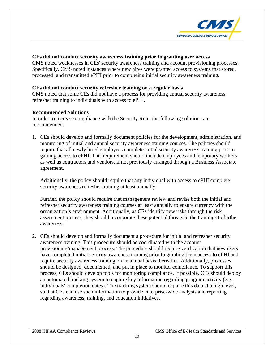

#### **CEs did not conduct security awareness training prior to granting user access**

CMS noted weaknesses in CEs' security awareness training and account provisioning processes. Specifically, CMS noted instances where new hires were granted access to systems that stored, processed, and transmitted ePHI prior to completing initial security awareness training.

#### **CEs did not conduct security refresher training on a regular basis**

CMS noted that some CEs did not have a process for providing annual security awareness refresher training to individuals with access to ePHI.

#### **Recommended Solutions**

In order to increase compliance with the Security Rule, the following solutions are recommended:

1. CEs should develop and formally document policies for the development, administration, and monitoring of initial and annual security awareness training courses. The policies should require that all newly hired employees complete initial security awareness training prior to gaining access to ePHI. This requirement should include employees and temporary workers as well as contractors and vendors, if not previously arranged through a Business Associate agreement.

Additionally, the policy should require that any individual with access to ePHI complete security awareness refresher training at least annually.

Further, the policy should require that management review and revise both the initial and refresher security awareness training courses at least annually to ensure currency with the organization's environment. Additionally, as CEs identify new risks through the risk assessment process, they should incorporate these potential threats in the trainings to further awareness.

2. CEs should develop and formally document a procedure for initial and refresher security awareness training. This procedure should be coordinated with the account provisioning/management process. The procedure should require verification that new users have completed initial security awareness training prior to granting them access to ePHI and require security awareness training on an annual basis thereafter. Additionally, processes should be designed, documented, and put in place to monitor compliance. To support this process, CEs should develop tools for monitoring compliance. If possible, CEs should deploy an automated tracking system to capture key information regarding program activity (e.g., individuals' completion dates). The tracking system should capture this data at a high level, so that CEs can use such information to provide enterprise-wide analysis and reporting regarding awareness, training, and education initiatives.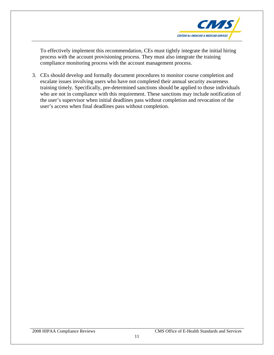

To effectively implement this recommendation, CEs must tightly integrate the initial hiring process with the account provisioning process. They must also integrate the training compliance monitoring process with the account management process.

3. CEs should develop and formally document procedures to monitor course completion and escalate issues involving users who have not completed their annual security awareness training timely. Specifically, pre-determined sanctions should be applied to those individuals who are not in compliance with this requirement. These sanctions may include notification of the user's supervisor when initial deadlines pass without completion and revocation of the user's access when final deadlines pass without completion.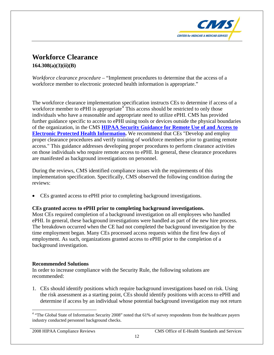

## **Workforce Clearance**

**164.308(a)(3)(ii)(B)** 

*Workforce clearance procedure* – "Implement procedures to determine that the access of a workforce member to electronic protected health information is appropriate."

The workforce clearance implementation specification instructs CEs to determine if access of a workforce member to ePHI is appropriate<sup>[4](#page-13-0)</sup> This access should be restricted to only those individuals who have a reasonable and appropriate need to utilize ePHI. CMS has provided further guidance specific to access to ePHI using tools or devices outside the physical boundaries of the organization, in the CMS **[HIPAA Security Guidance for Remote Use of and Access to](http://www.cms.hhs.gov/SecurityStandard/Downloads/SecurityGuidanceforRemoteUseFinal122806.pdf)  [Electronic Protected Health Information](http://www.cms.hhs.gov/SecurityStandard/Downloads/SecurityGuidanceforRemoteUseFinal122806.pdf).** We recommend that CEs "Develop and employ proper clearance procedures and verify training of workforce members prior to granting remote access." This guidance addresses developing proper procedures to perform clearance activities on those individuals who require remote access to ePHI. In general, these clearance procedures are manifested as background investigations on personnel.

During the reviews, CMS identified compliance issues with the requirements of this implementation specification. Specifically, CMS observed the following condition during the reviews:

• CEs granted access to ePHI prior to completing background investigations.

#### **CEs granted access to ePHI prior to completing background investigations.**

Most CEs required completion of a background investigation on all employees who handled ePHI. In general, these background investigations were handled as part of the new hire process. The breakdown occurred when the CE had not completed the background investigation by the time employment began. Many CEs processed access requests within the first few days of employment. As such, organizations granted access to ePHI prior to the completion of a background investigation.

#### **Recommended Solutions**

In order to increase compliance with the Security Rule, the following solutions are recommended:

1. CEs should identify positions which require background investigations based on risk. Using the risk assessment as a starting point, CEs should identify positions with access to ePHI and determine if access by an individual whose potential background investigation may not return

 $\overline{a}$ 

<span id="page-13-0"></span><sup>&</sup>lt;sup>4</sup> "The Global State of Information Security 2008" noted that 61% of survey respondents from the healthcare payers industry conducted personnel background checks.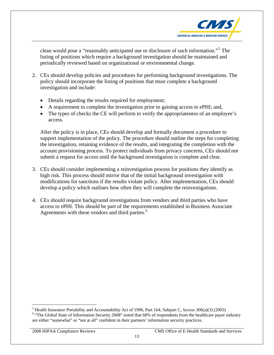

clean would pose a "reasonably anticipated use or disclosure of such information."<sup>5</sup> The listing of positions which require a background investigation should be maintained and periodically reviewed based on organizational or environmental change.

- 2. CEs should develop policies and procedures for performing background investigations. The policy should incorporate the listing of positions that must complete a background investigation and include:
	- Details regarding the results required for employment;
	- A requirement to complete the investigation prior to gaining access to ePHI; and,
	- The types of checks the CE will perform to verify the appropriateness of an employee's access.

After the policy is in place, CEs should develop and formally document a procedure to support implementation of the policy. The procedure should outline the steps for completing the investigation, retaining evidence of the results, and integrating the completion with the account provisioning process. To protect individuals from privacy concerns, CEs should not submit a request for access until the background investigation is complete and clear.

- 3. CEs should consider implementing a reinvestigation process for positions they identify as high risk. This process should mirror that of the initial background investigation with modifications for sanctions if the results violate policy. After implementation, CEs should develop a policy which outlines how often they will complete the reinvestigations.
- 4. CEs should require background investigations from vendors and third parties who have access to ePHI. This should be part of the requirements established in Business Associate Agreements with these vendors and third parties. $<sup>6</sup>$  $<sup>6</sup>$  $<sup>6</sup>$ </sup>

 $\overline{a}$ <sup>5</sup> Health Insurance Portability and Accountability Act of 1996, Part 164, Subpart C, Section 306(a)(3) (2003)  $\frac{6 \text{ °F}}{200}$  of  $\frac{6 \text{ °F}}{200}$  of  $\frac{6 \text{ °F}}{200}$  of respondents from the healthcare power is

<span id="page-14-0"></span><sup>&</sup>lt;sup>6</sup> "The Global State of Information Security 2008" noted that 68% of respondents from the healthcare payer industry are either "somewhat" or "not at all" confident in their partners' information security practices.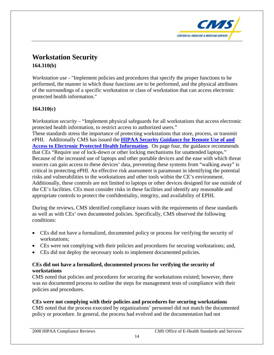

## **Workstation Security 164.310(b)**

*Workstation use* - "Implement policies and procedures that specify the proper functions to be performed, the manner in which those functions are to be performed, and the physical attributes of the surroundings of a specific workstation or class of workstation that can access electronic protected health information."

#### **164.310(c)**

*Workstation security* – "Implement physical safeguards for all workstations that access electronic protected health information, to restrict access to authorized users."

These standards stress the importance of protecting workstations that store, process, or transmit ePHI. Additionally CMS has issued the **[HIPAA Security Guidance for Remote Use of and](http://www.cms.hhs.gov/SecurityStandard/Downloads/SecurityGuidanceforRemoteUseFinal122806.pdf)  [Access to Electronic Protected Health Information](http://www.cms.hhs.gov/SecurityStandard/Downloads/SecurityGuidanceforRemoteUseFinal122806.pdf)**. On page four, the guidance recommends that CEs "Require use of lock-down or other locking mechanisms for unattended laptops." Because of the increased use of laptops and other portable devices and the ease with which threat sources can gain access to these devices' data, preventing these systems from "walking away" is critical in protecting ePHI. An effective risk assessment is paramount in identifying the potential risks and vulnerabilities to the workstations and other tools within the CE's environment. Additionally, these controls are not limited to laptops or other devices designed for use outside of the CE's facilities. CEs must consider risks in these facilities and identify any reasonable and appropriate controls to protect the confidentiality, integrity, and availability of EPHI.

During the reviews, CMS identified compliance issues with the requirements of these standards as well as with CEs' own documented policies. Specifically, CMS observed the following conditions:

- CEs did not have a formalized, documented policy or process for verifying the security of workstations;
- CEs were not complying with their policies and procedures for securing workstations; and,
- CEs did not deploy the necessary tools to implement documented policies.

#### **CEs did not have a formalized, documented process for verifying the security of workstations**

CMS noted that policies and procedures for securing the workstations existed; however, there was no documented process to outline the steps for management tests of compliance with their policies and procedures.

### **CEs were not complying with their policies and procedures for securing workstations**

CMS noted that the process executed by organizations' personnel did not match the documented policy or procedure. In general, the process had evolved and the documentation had not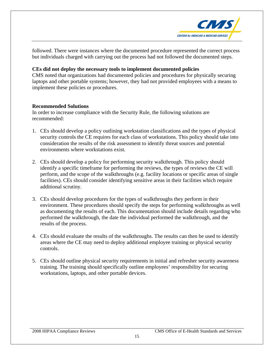

followed. There were instances where the documented procedure represented the correct process but individuals charged with carrying out the process had not followed the documented steps.

#### **CEs did not deploy the necessary tools to implement documented policies**

CMS noted that organizations had documented policies and procedures for physically securing laptops and other portable systems; however, they had not provided employees with a means to implement these policies or procedures.

#### **Recommended Solutions**

In order to increase compliance with the Security Rule, the following solutions are recommended:

- 1. CEs should develop a policy outlining workstation classifications and the types of physical security controls the CE requires for each class of workstations. This policy should take into consideration the results of the risk assessment to identify threat sources and potential environments where workstations exist.
- 2. CEs should develop a policy for performing security walkthrough. This policy should identify a specific timeframe for performing the reviews, the types of reviews the CE will perform, and the scope of the walkthroughs (e.g. facility locations or specific areas of single facilities). CEs should consider identifying sensitive areas in their facilities which require additional scrutiny.
- 3. CEs should develop procedures for the types of walkthroughs they perform in their environment. These procedures should specify the steps for performing walkthroughs as well as documenting the results of each. This documentation should include details regarding who performed the walkthrough, the date the individual performed the walkthrough, and the results of the process.
- 4. CEs should evaluate the results of the walkthroughs. The results can then be used to identify areas where the CE may need to deploy additional employee training or physical security controls.
- 5. CEs should outline physical security requirements in initial and refresher security awareness training. The training should specifically outline employees' responsibility for securing workstations, laptops, and other portable devices.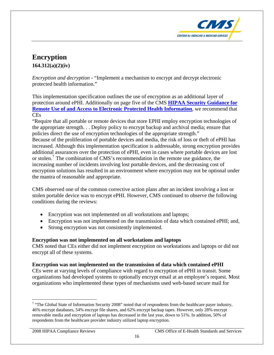

# **Encryption**

**164.312(a)(2)(iv)** 

*Encryption and decryption* - "Implement a mechanism to encrypt and decrypt electronic protected health information."

This implementation specification outlines the use of encryption as an additional layer of protection around ePHI. Additionally on page five of the CMS **[HIPAA Security Guidance for](http://www.cms.hhs.gov/SecurityStandard/Downloads/SecurityGuidanceforRemoteUseFinal122806.pdf)  [Remote Use of and Access to Electronic Protected Health Information](http://www.cms.hhs.gov/SecurityStandard/Downloads/SecurityGuidanceforRemoteUseFinal122806.pdf)**, we recommend that CEs

"Require that all portable or remote devices that store EPHI employ encryption technologies of the appropriate strength. . . Deploy policy to encrypt backup and archival media; ensure that policies direct the use of encryption technologies of the appropriate strength."

Because of the proliferation of portable devices and media, the risk of loss or theft of ePHI has increased. Although this implementation specification is addressable, strong encryption provides additional assurances over the protection of ePHI, even in cases where portable devices are lost or stolen.<sup>[7](#page-17-0)</sup> The combination of CMS's recommendation in the remote use guidance, the increasing number of incidents involving lost portable devices, and the decreasing cost of encryption solutions has resulted in an environment where encryption may not be optional under the mantra of reasonable and appropriate.

CMS observed one of the common corrective action plans after an incident involving a lost or stolen portable device was to encrypt ePHI. However, CMS continued to observe the following conditions during the reviews:

- Encryption was not implemented on all workstations and laptops;
- Encryption was not implemented on the transmission of data which contained ePHI; and,
- Strong encryption was not consistently implemented.

#### **Encryption was not implemented on all workstations and laptops**

CMS noted that CEs either did not implement encryption on workstations and laptops or did not encrypt all of these systems.

#### **Encryption was not implemented on the transmission of data which contained ePHI**

CEs were at varying levels of compliance with regard to encryption of ePHI in transit. Some organizations had developed systems to optionally encrypt email at an employee's request. Most organizations who implemented these types of mechanisms used web-based secure mail for

<span id="page-17-0"></span> $\overline{a}$ <sup>7</sup> "The Global State of Information Security 2008" noted that of respondents from the healthcare payer industry, 46% encrypt databases, 54% encrypt file shares, and 62% encrypt backup tapes. However, only 28% encrypt removable media and encryption of laptops has decreased in the last year, down to 51%. In addition, 50% of respondents from the healthcare provider industry utilized laptop encryption.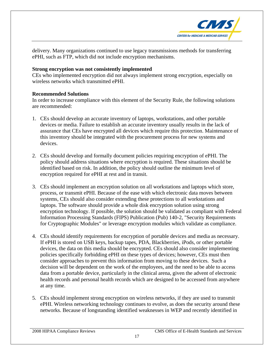

delivery. Many organizations continued to use legacy transmissions methods for transferring ePHI, such as FTP, which did not include encryption mechanisms.

#### **Strong encryption was not consistently implemented**

CEs who implemented encryption did not always implement strong encryption, especially on wireless networks which transmitted ePHI.

#### **Recommended Solutions**

In order to increase compliance with this element of the Security Rule, the following solutions are recommended:

- 1. CEs should develop an accurate inventory of laptops, workstations, and other portable devices or media. Failure to establish an accurate inventory usually results in the lack of assurance that CEs have encrypted all devices which require this protection. Maintenance of this inventory should be integrated with the procurement process for new systems and devices.
- 2. CEs should develop and formally document policies requiring encryption of ePHI. The policy should address situations where encryption is required. These situations should be identified based on risk. In addition, the policy should outline the minimum level of encryption required for ePHI at rest and in transit.
- 3. CEs should implement an encryption solution on all workstations and laptops which store, process, or transmit ePHI. Because of the ease with which electronic data moves between systems, CEs should also consider extending these protections to all workstations and laptops. The software should provide a whole disk encryption solution using strong encryption technology. If possible, the solution should be validated as compliant with Federal Information Processing Standards (FIPS) Publication (Pub) 140-2, "Security Requirements for Cryptographic Modules" or leverage encryption modules which validate as compliance.
- 4. CEs should identify requirements for encryption of portable devices and media as necessary. If ePHI is stored on USB keys, backup tapes, PDA, Blackberries, iPods, or other portable devices, the data on this media should be encrypted. CEs should also consider implementing policies specifically forbidding ePHI on these types of devices; however, CEs must then consider approaches to prevent this information from moving to these devices. Such a decision will be dependent on the work of the employees, and the need to be able to access data from a portable device, particularly in the clinical arena, given the advent of electronic health records and personal health records which are designed to be accessed from anywhere at any time.
- 5. CEs should implement strong encryption on wireless networks, if they are used to transmit ePHI. Wireless networking technology continues to evolve, as does the security around these networks. Because of longstanding identified weaknesses in WEP and recently identified in